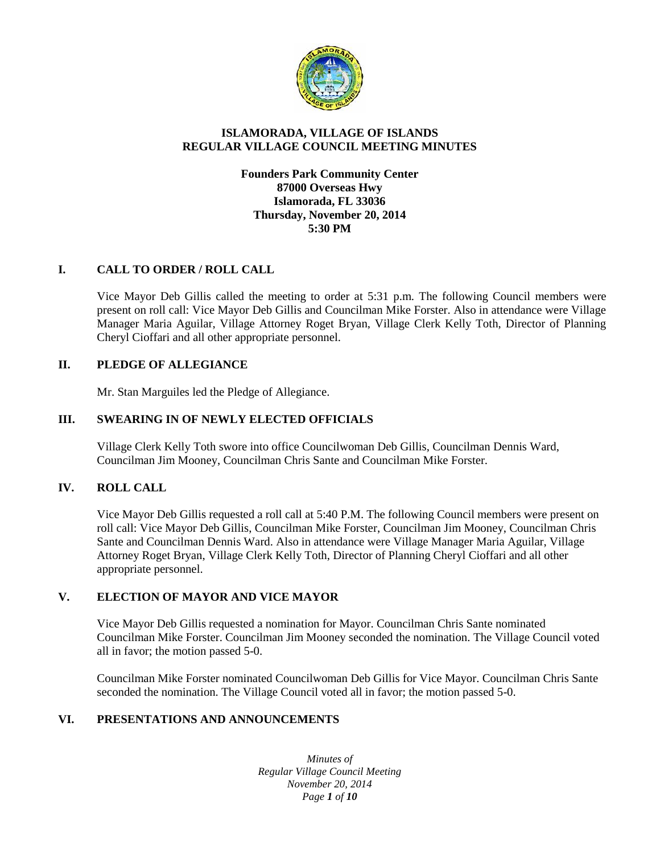

## **ISLAMORADA, VILLAGE OF ISLANDS REGULAR VILLAGE COUNCIL MEETING MINUTES**

### **Founders Park Community Center 87000 Overseas Hwy Islamorada, FL 33036 Thursday, November 20, 2014 5:30 PM**

# **I. CALL TO ORDER / ROLL CALL**

Vice Mayor Deb Gillis called the meeting to order at 5:31 p.m. The following Council members were present on roll call: Vice Mayor Deb Gillis and Councilman Mike Forster. Also in attendance were Village Manager Maria Aguilar, Village Attorney Roget Bryan, Village Clerk Kelly Toth, Director of Planning Cheryl Cioffari and all other appropriate personnel.

#### **II. PLEDGE OF ALLEGIANCE**

Mr. Stan Marguiles led the Pledge of Allegiance.

#### **III. SWEARING IN OF NEWLY ELECTED OFFICIALS**

Village Clerk Kelly Toth swore into office Councilwoman Deb Gillis, Councilman Dennis Ward, Councilman Jim Mooney, Councilman Chris Sante and Councilman Mike Forster.

#### **IV. ROLL CALL**

Vice Mayor Deb Gillis requested a roll call at 5:40 P.M. The following Council members were present on roll call: Vice Mayor Deb Gillis, Councilman Mike Forster, Councilman Jim Mooney, Councilman Chris Sante and Councilman Dennis Ward. Also in attendance were Village Manager Maria Aguilar, Village Attorney Roget Bryan, Village Clerk Kelly Toth, Director of Planning Cheryl Cioffari and all other appropriate personnel.

#### **V. ELECTION OF MAYOR AND VICE MAYOR**

Vice Mayor Deb Gillis requested a nomination for Mayor. Councilman Chris Sante nominated Councilman Mike Forster. Councilman Jim Mooney seconded the nomination. The Village Council voted all in favor; the motion passed 5-0.

Councilman Mike Forster nominated Councilwoman Deb Gillis for Vice Mayor. Councilman Chris Sante seconded the nomination. The Village Council voted all in favor; the motion passed 5-0.

### **VI. PRESENTATIONS AND ANNOUNCEMENTS**

*Minutes of Regular Village Council Meeting November 20, 2014 Page 1 of 10*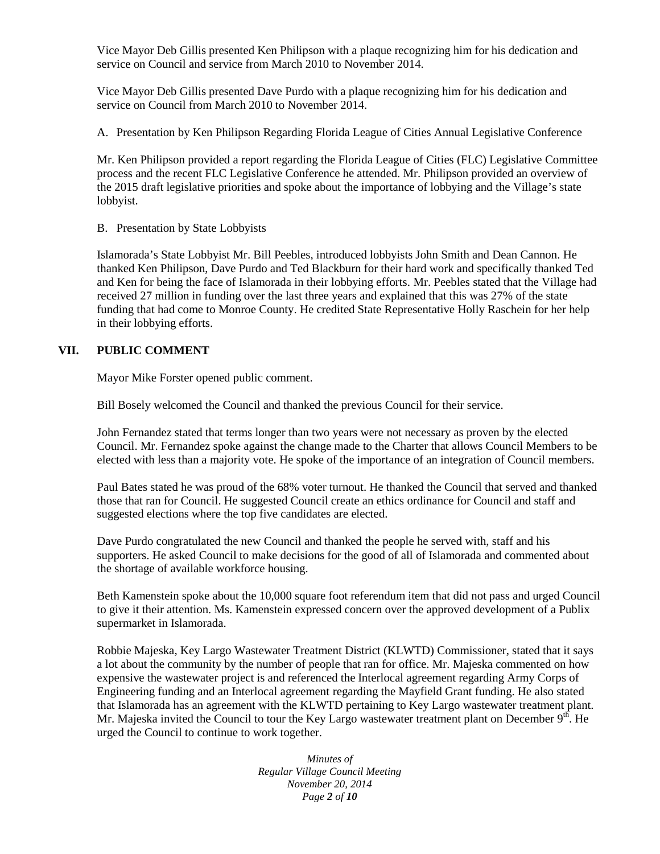Vice Mayor Deb Gillis presented Ken Philipson with a plaque recognizing him for his dedication and service on Council and service from March 2010 to November 2014.

Vice Mayor Deb Gillis presented Dave Purdo with a plaque recognizing him for his dedication and service on Council from March 2010 to November 2014.

A. Presentation by Ken Philipson Regarding Florida League of Cities Annual Legislative Conference

Mr. Ken Philipson provided a report regarding the Florida League of Cities (FLC) Legislative Committee process and the recent FLC Legislative Conference he attended. Mr. Philipson provided an overview of the 2015 draft legislative priorities and spoke about the importance of lobbying and the Village's state lobbyist.

B. Presentation by State Lobbyists

Islamorada's State Lobbyist Mr. Bill Peebles, introduced lobbyists John Smith and Dean Cannon. He thanked Ken Philipson, Dave Purdo and Ted Blackburn for their hard work and specifically thanked Ted and Ken for being the face of Islamorada in their lobbying efforts. Mr. Peebles stated that the Village had received 27 million in funding over the last three years and explained that this was 27% of the state funding that had come to Monroe County. He credited State Representative Holly Raschein for her help in their lobbying efforts.

### **VII. PUBLIC COMMENT**

Mayor Mike Forster opened public comment.

Bill Bosely welcomed the Council and thanked the previous Council for their service.

John Fernandez stated that terms longer than two years were not necessary as proven by the elected Council. Mr. Fernandez spoke against the change made to the Charter that allows Council Members to be elected with less than a majority vote. He spoke of the importance of an integration of Council members.

Paul Bates stated he was proud of the 68% voter turnout. He thanked the Council that served and thanked those that ran for Council. He suggested Council create an ethics ordinance for Council and staff and suggested elections where the top five candidates are elected.

Dave Purdo congratulated the new Council and thanked the people he served with, staff and his supporters. He asked Council to make decisions for the good of all of Islamorada and commented about the shortage of available workforce housing.

Beth Kamenstein spoke about the 10,000 square foot referendum item that did not pass and urged Council to give it their attention. Ms. Kamenstein expressed concern over the approved development of a Publix supermarket in Islamorada.

Robbie Majeska, Key Largo Wastewater Treatment District (KLWTD) Commissioner, stated that it says a lot about the community by the number of people that ran for office. Mr. Majeska commented on how expensive the wastewater project is and referenced the Interlocal agreement regarding Army Corps of Engineering funding and an Interlocal agreement regarding the Mayfield Grant funding. He also stated that Islamorada has an agreement with the KLWTD pertaining to Key Largo wastewater treatment plant. Mr. Majeska invited the Council to tour the Key Largo wastewater treatment plant on December  $9<sup>th</sup>$ . He urged the Council to continue to work together.

> *Minutes of Regular Village Council Meeting November 20, 2014 Page 2 of 10*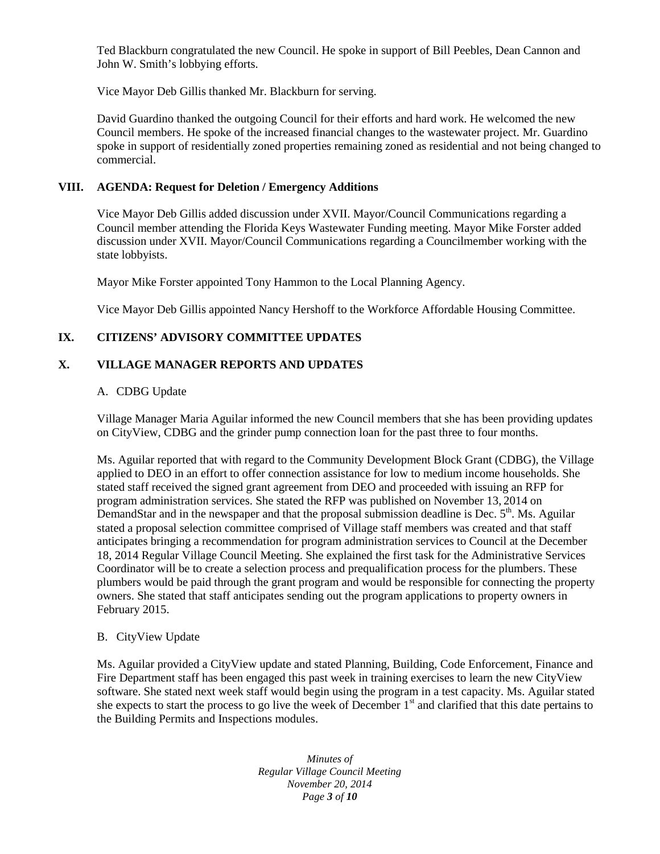Ted Blackburn congratulated the new Council. He spoke in support of Bill Peebles, Dean Cannon and John W. Smith's lobbying efforts.

Vice Mayor Deb Gillis thanked Mr. Blackburn for serving.

David Guardino thanked the outgoing Council for their efforts and hard work. He welcomed the new Council members. He spoke of the increased financial changes to the wastewater project. Mr. Guardino spoke in support of residentially zoned properties remaining zoned as residential and not being changed to commercial.

## **VIII. AGENDA: Request for Deletion / Emergency Additions**

Vice Mayor Deb Gillis added discussion under XVII. Mayor/Council Communications regarding a Council member attending the Florida Keys Wastewater Funding meeting. Mayor Mike Forster added discussion under XVII. Mayor/Council Communications regarding a Councilmember working with the state lobbyists.

Mayor Mike Forster appointed Tony Hammon to the Local Planning Agency.

Vice Mayor Deb Gillis appointed Nancy Hershoff to the Workforce Affordable Housing Committee.

## **IX. CITIZENS' ADVISORY COMMITTEE UPDATES**

## **X. VILLAGE MANAGER REPORTS AND UPDATES**

### A. CDBG Update

Village Manager Maria Aguilar informed the new Council members that she has been providing updates on CityView, CDBG and the grinder pump connection loan for the past three to four months.

Ms. Aguilar reported that with regard to the Community Development Block Grant (CDBG), the Village applied to DEO in an effort to offer connection assistance for low to medium income households. She stated staff received the signed grant agreement from DEO and proceeded with issuing an RFP for program administration services. She stated the RFP was published on November 13, 2014 on DemandStar and in the newspaper and that the proposal submission deadline is Dec.  $5<sup>th</sup>$ . Ms. Aguilar stated a proposal selection committee comprised of Village staff members was created and that staff anticipates bringing a recommendation for program administration services to Council at the December 18, 2014 Regular Village Council Meeting. She explained the first task for the Administrative Services Coordinator will be to create a selection process and prequalification process for the plumbers. These plumbers would be paid through the grant program and would be responsible for connecting the property owners. She stated that staff anticipates sending out the program applications to property owners in February 2015.

#### B. CityView Update

Ms. Aguilar provided a CityView update and stated Planning, Building, Code Enforcement, Finance and Fire Department staff has been engaged this past week in training exercises to learn the new CityView software. She stated next week staff would begin using the program in a test capacity. Ms. Aguilar stated she expects to start the process to go live the week of December  $1<sup>st</sup>$  and clarified that this date pertains to the Building Permits and Inspections modules.

> *Minutes of Regular Village Council Meeting November 20, 2014 Page 3 of 10*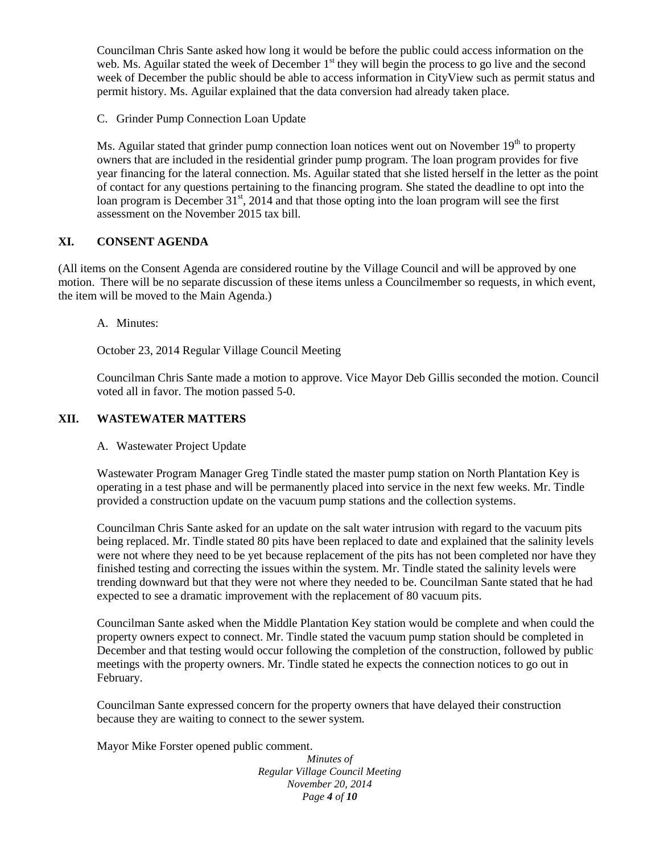Councilman Chris Sante asked how long it would be before the public could access information on the web. Ms. Aguilar stated the week of December 1<sup>st</sup> they will begin the process to go live and the second week of December the public should be able to access information in CityView such as permit status and permit history. Ms. Aguilar explained that the data conversion had already taken place.

C. Grinder Pump Connection Loan Update

Ms. Aguilar stated that grinder pump connection loan notices went out on November  $19<sup>th</sup>$  to property owners that are included in the residential grinder pump program. The loan program provides for five year financing for the lateral connection. Ms. Aguilar stated that she listed herself in the letter as the point of contact for any questions pertaining to the financing program. She stated the deadline to opt into the loan program is December  $31<sup>st</sup>$ , 2014 and that those opting into the loan program will see the first assessment on the November 2015 tax bill.

## **XI. CONSENT AGENDA**

(All items on the Consent Agenda are considered routine by the Village Council and will be approved by one motion. There will be no separate discussion of these items unless a Councilmember so requests, in which event, the item will be moved to the Main Agenda.)

A. Minutes:

October 23, 2014 Regular Village Council Meeting

Councilman Chris Sante made a motion to approve. Vice Mayor Deb Gillis seconded the motion. Council voted all in favor. The motion passed 5-0.

## **XII. WASTEWATER MATTERS**

A. Wastewater Project Update

Wastewater Program Manager Greg Tindle stated the master pump station on North Plantation Key is operating in a test phase and will be permanently placed into service in the next few weeks. Mr. Tindle provided a construction update on the vacuum pump stations and the collection systems.

Councilman Chris Sante asked for an update on the salt water intrusion with regard to the vacuum pits being replaced. Mr. Tindle stated 80 pits have been replaced to date and explained that the salinity levels were not where they need to be yet because replacement of the pits has not been completed nor have they finished testing and correcting the issues within the system. Mr. Tindle stated the salinity levels were trending downward but that they were not where they needed to be. Councilman Sante stated that he had expected to see a dramatic improvement with the replacement of 80 vacuum pits.

Councilman Sante asked when the Middle Plantation Key station would be complete and when could the property owners expect to connect. Mr. Tindle stated the vacuum pump station should be completed in December and that testing would occur following the completion of the construction, followed by public meetings with the property owners. Mr. Tindle stated he expects the connection notices to go out in February.

Councilman Sante expressed concern for the property owners that have delayed their construction because they are waiting to connect to the sewer system.

Mayor Mike Forster opened public comment.

*Minutes of Regular Village Council Meeting November 20, 2014 Page 4 of 10*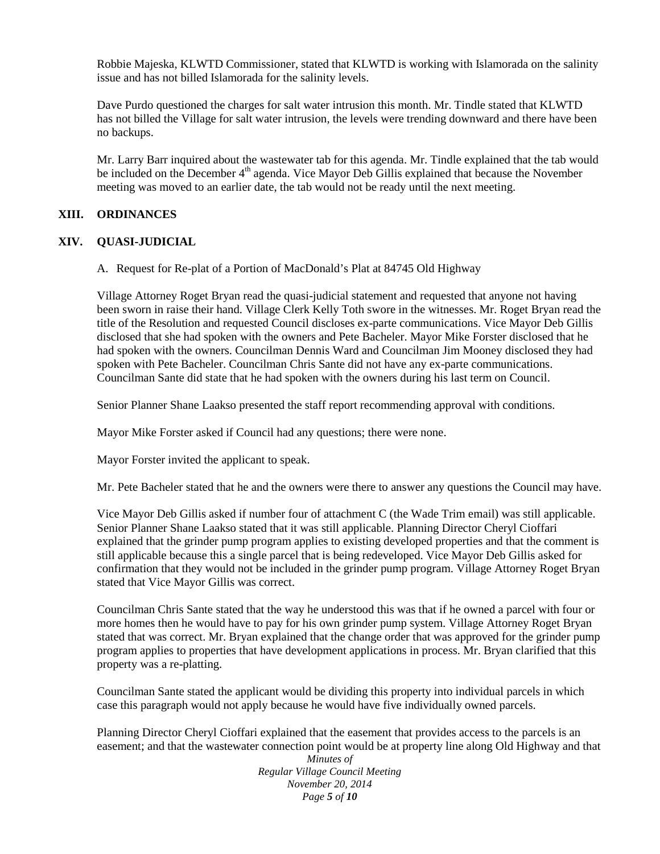Robbie Majeska, KLWTD Commissioner, stated that KLWTD is working with Islamorada on the salinity issue and has not billed Islamorada for the salinity levels.

Dave Purdo questioned the charges for salt water intrusion this month. Mr. Tindle stated that KLWTD has not billed the Village for salt water intrusion, the levels were trending downward and there have been no backups.

Mr. Larry Barr inquired about the wastewater tab for this agenda. Mr. Tindle explained that the tab would be included on the December 4<sup>th</sup> agenda. Vice Mayor Deb Gillis explained that because the November meeting was moved to an earlier date, the tab would not be ready until the next meeting.

#### **XIII. ORDINANCES**

#### **XIV. QUASI-JUDICIAL**

A. Request for Re-plat of a Portion of MacDonald's Plat at 84745 Old Highway

Village Attorney Roget Bryan read the quasi-judicial statement and requested that anyone not having been sworn in raise their hand. Village Clerk Kelly Toth swore in the witnesses. Mr. Roget Bryan read the title of the Resolution and requested Council discloses ex-parte communications. Vice Mayor Deb Gillis disclosed that she had spoken with the owners and Pete Bacheler. Mayor Mike Forster disclosed that he had spoken with the owners. Councilman Dennis Ward and Councilman Jim Mooney disclosed they had spoken with Pete Bacheler. Councilman Chris Sante did not have any ex-parte communications. Councilman Sante did state that he had spoken with the owners during his last term on Council.

Senior Planner Shane Laakso presented the staff report recommending approval with conditions.

Mayor Mike Forster asked if Council had any questions; there were none.

Mayor Forster invited the applicant to speak.

Mr. Pete Bacheler stated that he and the owners were there to answer any questions the Council may have.

Vice Mayor Deb Gillis asked if number four of attachment C (the Wade Trim email) was still applicable. Senior Planner Shane Laakso stated that it was still applicable. Planning Director Cheryl Cioffari explained that the grinder pump program applies to existing developed properties and that the comment is still applicable because this a single parcel that is being redeveloped. Vice Mayor Deb Gillis asked for confirmation that they would not be included in the grinder pump program. Village Attorney Roget Bryan stated that Vice Mayor Gillis was correct.

Councilman Chris Sante stated that the way he understood this was that if he owned a parcel with four or more homes then he would have to pay for his own grinder pump system. Village Attorney Roget Bryan stated that was correct. Mr. Bryan explained that the change order that was approved for the grinder pump program applies to properties that have development applications in process. Mr. Bryan clarified that this property was a re-platting.

Councilman Sante stated the applicant would be dividing this property into individual parcels in which case this paragraph would not apply because he would have five individually owned parcels.

Planning Director Cheryl Cioffari explained that the easement that provides access to the parcels is an easement; and that the wastewater connection point would be at property line along Old Highway and that

*Minutes of Regular Village Council Meeting November 20, 2014 Page 5 of 10*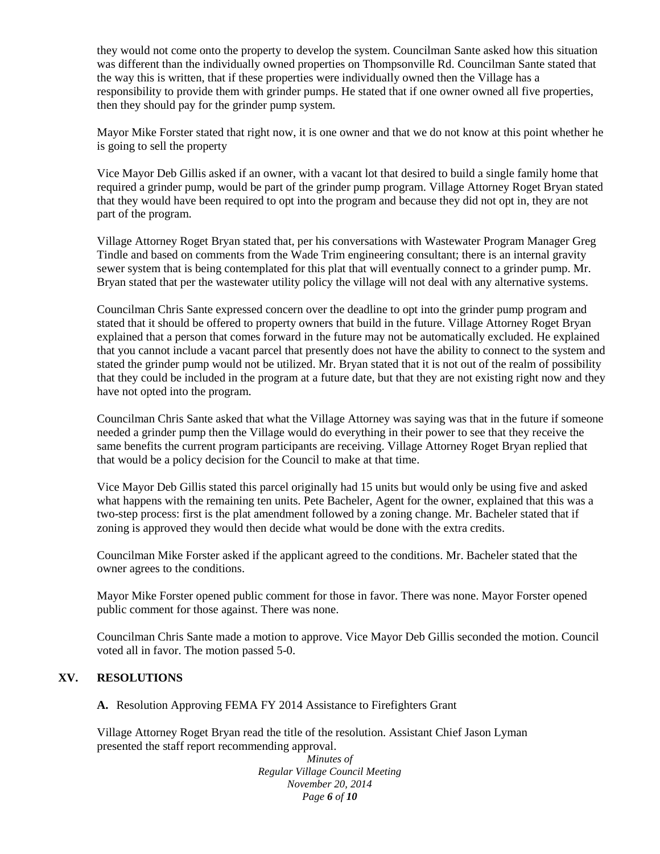they would not come onto the property to develop the system. Councilman Sante asked how this situation was different than the individually owned properties on Thompsonville Rd. Councilman Sante stated that the way this is written, that if these properties were individually owned then the Village has a responsibility to provide them with grinder pumps. He stated that if one owner owned all five properties, then they should pay for the grinder pump system.

Mayor Mike Forster stated that right now, it is one owner and that we do not know at this point whether he is going to sell the property

Vice Mayor Deb Gillis asked if an owner, with a vacant lot that desired to build a single family home that required a grinder pump, would be part of the grinder pump program. Village Attorney Roget Bryan stated that they would have been required to opt into the program and because they did not opt in, they are not part of the program.

Village Attorney Roget Bryan stated that, per his conversations with Wastewater Program Manager Greg Tindle and based on comments from the Wade Trim engineering consultant; there is an internal gravity sewer system that is being contemplated for this plat that will eventually connect to a grinder pump. Mr. Bryan stated that per the wastewater utility policy the village will not deal with any alternative systems.

Councilman Chris Sante expressed concern over the deadline to opt into the grinder pump program and stated that it should be offered to property owners that build in the future. Village Attorney Roget Bryan explained that a person that comes forward in the future may not be automatically excluded. He explained that you cannot include a vacant parcel that presently does not have the ability to connect to the system and stated the grinder pump would not be utilized. Mr. Bryan stated that it is not out of the realm of possibility that they could be included in the program at a future date, but that they are not existing right now and they have not opted into the program.

Councilman Chris Sante asked that what the Village Attorney was saying was that in the future if someone needed a grinder pump then the Village would do everything in their power to see that they receive the same benefits the current program participants are receiving. Village Attorney Roget Bryan replied that that would be a policy decision for the Council to make at that time.

Vice Mayor Deb Gillis stated this parcel originally had 15 units but would only be using five and asked what happens with the remaining ten units. Pete Bacheler, Agent for the owner, explained that this was a two-step process: first is the plat amendment followed by a zoning change. Mr. Bacheler stated that if zoning is approved they would then decide what would be done with the extra credits.

Councilman Mike Forster asked if the applicant agreed to the conditions. Mr. Bacheler stated that the owner agrees to the conditions.

Mayor Mike Forster opened public comment for those in favor. There was none. Mayor Forster opened public comment for those against. There was none.

Councilman Chris Sante made a motion to approve. Vice Mayor Deb Gillis seconded the motion. Council voted all in favor. The motion passed 5-0.

### **XV. RESOLUTIONS**

**A.** Resolution Approving FEMA FY 2014 Assistance to Firefighters Grant

Village Attorney Roget Bryan read the title of the resolution. Assistant Chief Jason Lyman presented the staff report recommending approval.

> *Minutes of Regular Village Council Meeting November 20, 2014 Page 6 of 10*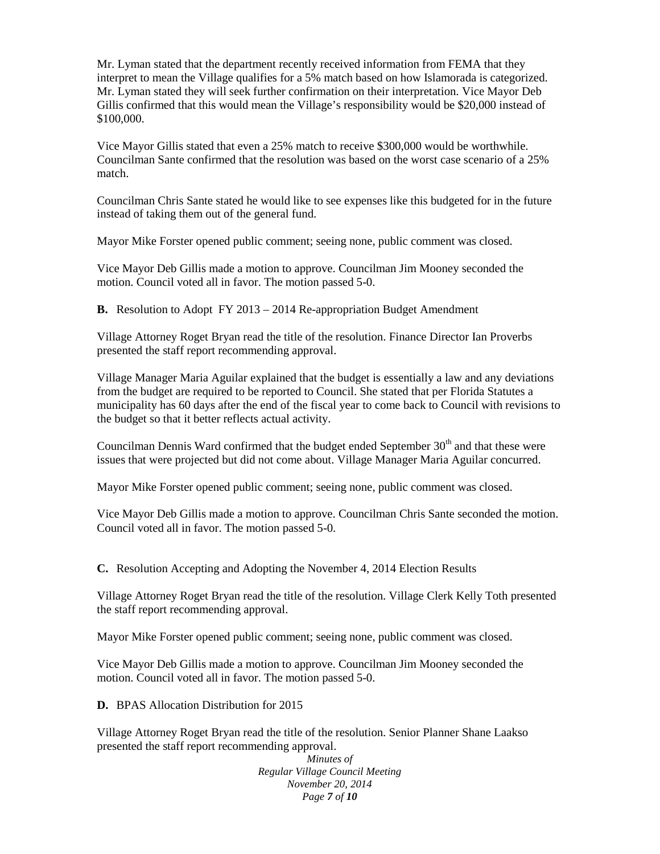Mr. Lyman stated that the department recently received information from FEMA that they interpret to mean the Village qualifies for a 5% match based on how Islamorada is categorized. Mr. Lyman stated they will seek further confirmation on their interpretation. Vice Mayor Deb Gillis confirmed that this would mean the Village's responsibility would be \$20,000 instead of \$100,000.

Vice Mayor Gillis stated that even a 25% match to receive \$300,000 would be worthwhile. Councilman Sante confirmed that the resolution was based on the worst case scenario of a 25% match.

Councilman Chris Sante stated he would like to see expenses like this budgeted for in the future instead of taking them out of the general fund.

Mayor Mike Forster opened public comment; seeing none, public comment was closed.

Vice Mayor Deb Gillis made a motion to approve. Councilman Jim Mooney seconded the motion. Council voted all in favor. The motion passed 5-0.

**B.** Resolution to Adopt FY 2013 – 2014 Re-appropriation Budget Amendment

Village Attorney Roget Bryan read the title of the resolution. Finance Director Ian Proverbs presented the staff report recommending approval.

Village Manager Maria Aguilar explained that the budget is essentially a law and any deviations from the budget are required to be reported to Council. She stated that per Florida Statutes a municipality has 60 days after the end of the fiscal year to come back to Council with revisions to the budget so that it better reflects actual activity.

Councilman Dennis Ward confirmed that the budget ended September  $30<sup>th</sup>$  and that these were issues that were projected but did not come about. Village Manager Maria Aguilar concurred.

Mayor Mike Forster opened public comment; seeing none, public comment was closed.

Vice Mayor Deb Gillis made a motion to approve. Councilman Chris Sante seconded the motion. Council voted all in favor. The motion passed 5-0.

**C.** Resolution Accepting and Adopting the November 4, 2014 Election Results

Village Attorney Roget Bryan read the title of the resolution. Village Clerk Kelly Toth presented the staff report recommending approval.

Mayor Mike Forster opened public comment; seeing none, public comment was closed.

Vice Mayor Deb Gillis made a motion to approve. Councilman Jim Mooney seconded the motion. Council voted all in favor. The motion passed 5-0.

**D.** BPAS Allocation Distribution for 2015

Village Attorney Roget Bryan read the title of the resolution. Senior Planner Shane Laakso presented the staff report recommending approval.

> *Minutes of Regular Village Council Meeting November 20, 2014 Page 7 of 10*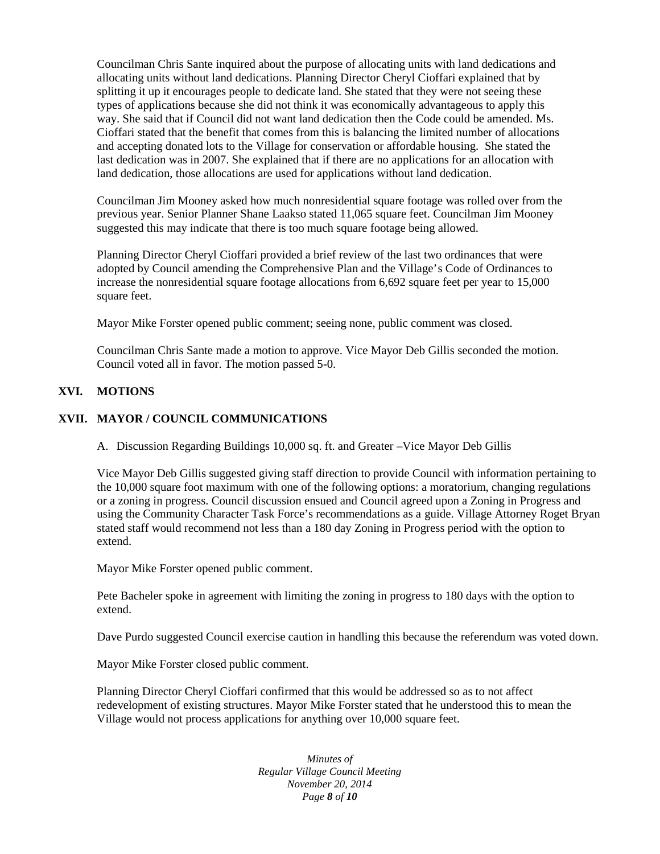Councilman Chris Sante inquired about the purpose of allocating units with land dedications and allocating units without land dedications. Planning Director Cheryl Cioffari explained that by splitting it up it encourages people to dedicate land. She stated that they were not seeing these types of applications because she did not think it was economically advantageous to apply this way. She said that if Council did not want land dedication then the Code could be amended. Ms. Cioffari stated that the benefit that comes from this is balancing the limited number of allocations and accepting donated lots to the Village for conservation or affordable housing. She stated the last dedication was in 2007. She explained that if there are no applications for an allocation with land dedication, those allocations are used for applications without land dedication.

Councilman Jim Mooney asked how much nonresidential square footage was rolled over from the previous year. Senior Planner Shane Laakso stated 11,065 square feet. Councilman Jim Mooney suggested this may indicate that there is too much square footage being allowed.

Planning Director Cheryl Cioffari provided a brief review of the last two ordinances that were adopted by Council amending the Comprehensive Plan and the Village's Code of Ordinances to increase the nonresidential square footage allocations from 6,692 square feet per year to 15,000 square feet.

Mayor Mike Forster opened public comment; seeing none, public comment was closed.

Councilman Chris Sante made a motion to approve. Vice Mayor Deb Gillis seconded the motion. Council voted all in favor. The motion passed 5-0.

# **XVI. MOTIONS**

## **XVII. MAYOR / COUNCIL COMMUNICATIONS**

A. Discussion Regarding Buildings 10,000 sq. ft. and Greater –Vice Mayor Deb Gillis

Vice Mayor Deb Gillis suggested giving staff direction to provide Council with information pertaining to the 10,000 square foot maximum with one of the following options: a moratorium, changing regulations or a zoning in progress. Council discussion ensued and Council agreed upon a Zoning in Progress and using the Community Character Task Force's recommendations as a guide. Village Attorney Roget Bryan stated staff would recommend not less than a 180 day Zoning in Progress period with the option to extend.

Mayor Mike Forster opened public comment.

Pete Bacheler spoke in agreement with limiting the zoning in progress to 180 days with the option to extend.

Dave Purdo suggested Council exercise caution in handling this because the referendum was voted down.

Mayor Mike Forster closed public comment.

Planning Director Cheryl Cioffari confirmed that this would be addressed so as to not affect redevelopment of existing structures. Mayor Mike Forster stated that he understood this to mean the Village would not process applications for anything over 10,000 square feet.

> *Minutes of Regular Village Council Meeting November 20, 2014 Page 8 of 10*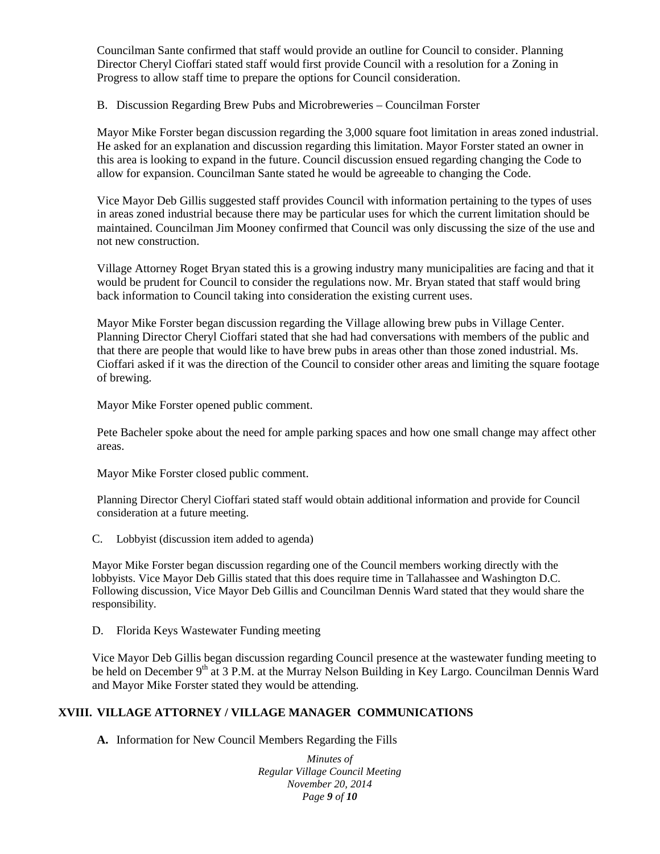Councilman Sante confirmed that staff would provide an outline for Council to consider. Planning Director Cheryl Cioffari stated staff would first provide Council with a resolution for a Zoning in Progress to allow staff time to prepare the options for Council consideration.

B. Discussion Regarding Brew Pubs and Microbreweries – Councilman Forster

Mayor Mike Forster began discussion regarding the 3,000 square foot limitation in areas zoned industrial. He asked for an explanation and discussion regarding this limitation. Mayor Forster stated an owner in this area is looking to expand in the future. Council discussion ensued regarding changing the Code to allow for expansion. Councilman Sante stated he would be agreeable to changing the Code.

Vice Mayor Deb Gillis suggested staff provides Council with information pertaining to the types of uses in areas zoned industrial because there may be particular uses for which the current limitation should be maintained. Councilman Jim Mooney confirmed that Council was only discussing the size of the use and not new construction.

Village Attorney Roget Bryan stated this is a growing industry many municipalities are facing and that it would be prudent for Council to consider the regulations now. Mr. Bryan stated that staff would bring back information to Council taking into consideration the existing current uses.

Mayor Mike Forster began discussion regarding the Village allowing brew pubs in Village Center. Planning Director Cheryl Cioffari stated that she had had conversations with members of the public and that there are people that would like to have brew pubs in areas other than those zoned industrial. Ms. Cioffari asked if it was the direction of the Council to consider other areas and limiting the square footage of brewing.

Mayor Mike Forster opened public comment.

Pete Bacheler spoke about the need for ample parking spaces and how one small change may affect other areas.

Mayor Mike Forster closed public comment.

Planning Director Cheryl Cioffari stated staff would obtain additional information and provide for Council consideration at a future meeting.

C. Lobbyist (discussion item added to agenda)

Mayor Mike Forster began discussion regarding one of the Council members working directly with the lobbyists. Vice Mayor Deb Gillis stated that this does require time in Tallahassee and Washington D.C. Following discussion, Vice Mayor Deb Gillis and Councilman Dennis Ward stated that they would share the responsibility.

D. Florida Keys Wastewater Funding meeting

Vice Mayor Deb Gillis began discussion regarding Council presence at the wastewater funding meeting to be held on December 9<sup>th</sup> at 3 P.M. at the Murray Nelson Building in Key Largo. Councilman Dennis Ward and Mayor Mike Forster stated they would be attending.

# **XVIII. VILLAGE ATTORNEY / VILLAGE MANAGER COMMUNICATIONS**

**A.** Information for New Council Members Regarding the Fills

*Minutes of Regular Village Council Meeting November 20, 2014 Page 9 of 10*